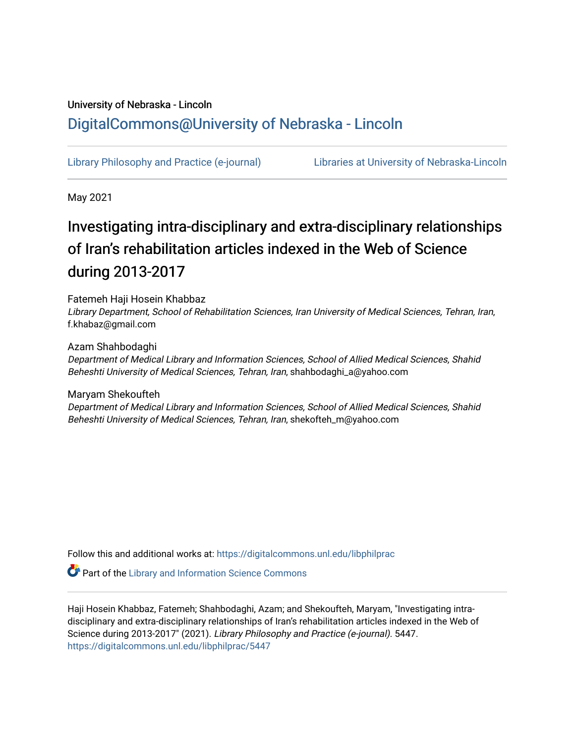# University of Nebraska - Lincoln [DigitalCommons@University of Nebraska - Lincoln](https://digitalcommons.unl.edu/)

[Library Philosophy and Practice \(e-journal\)](https://digitalcommons.unl.edu/libphilprac) [Libraries at University of Nebraska-Lincoln](https://digitalcommons.unl.edu/libraries) 

May 2021

# Investigating intra-disciplinary and extra-disciplinary relationships of Iran's rehabilitation articles indexed in the Web of Science during 2013-2017

Fatemeh Haji Hosein Khabbaz

Library Department, School of Rehabilitation Sciences, Iran University of Medical Sciences, Tehran, Iran, f.khabaz@gmail.com

Azam Shahbodaghi

Department of Medical Library and Information Sciences, School of Allied Medical Sciences, Shahid Beheshti University of Medical Sciences, Tehran, Iran, shahbodaghi\_a@yahoo.com

Maryam Shekoufteh Department of Medical Library and Information Sciences, School of Allied Medical Sciences, Shahid Beheshti University of Medical Sciences, Tehran, Iran, shekofteh\_m@yahoo.com

Follow this and additional works at: [https://digitalcommons.unl.edu/libphilprac](https://digitalcommons.unl.edu/libphilprac?utm_source=digitalcommons.unl.edu%2Flibphilprac%2F5447&utm_medium=PDF&utm_campaign=PDFCoverPages) 

**Part of the Library and Information Science Commons** 

Haji Hosein Khabbaz, Fatemeh; Shahbodaghi, Azam; and Shekoufteh, Maryam, "Investigating intradisciplinary and extra-disciplinary relationships of Iran's rehabilitation articles indexed in the Web of Science during 2013-2017" (2021). Library Philosophy and Practice (e-journal). 5447. [https://digitalcommons.unl.edu/libphilprac/5447](https://digitalcommons.unl.edu/libphilprac/5447?utm_source=digitalcommons.unl.edu%2Flibphilprac%2F5447&utm_medium=PDF&utm_campaign=PDFCoverPages)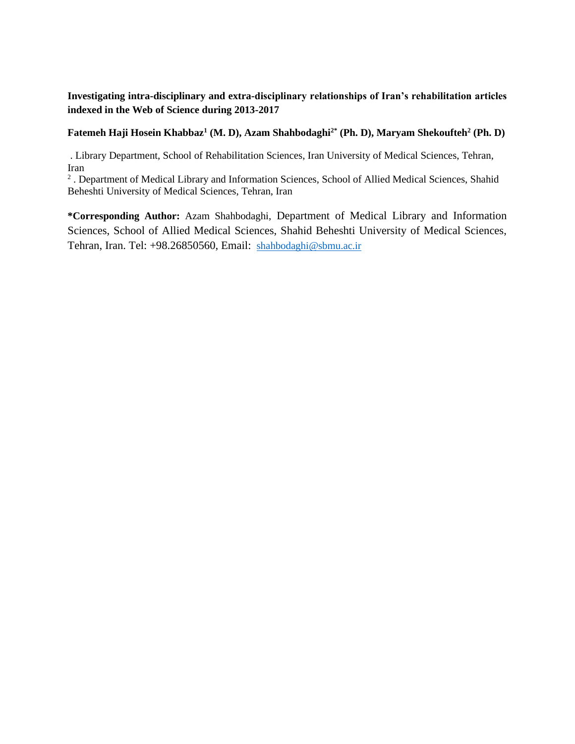**Investigating intra-disciplinary and extra-disciplinary relationships of Iran's rehabilitation articles indexed in the Web of Science during 2013-2017**

#### **Fatemeh Haji Hosein Khabbaz<sup>1</sup> (M. D), Azam Shahbodaghi2\* (Ph. D), Maryam Shekoufteh<sup>2</sup> (Ph. D)**

. Library Department, School of Rehabilitation Sciences, Iran University of Medical Sciences, Tehran, Iran

<sup>2</sup>. Department of Medical Library and Information Sciences, School of Allied Medical Sciences, Shahid Beheshti University of Medical Sciences, Tehran, Iran

**\*Corresponding Author:** Azam Shahbodaghi, Department of Medical Library and Information Sciences, School of Allied Medical Sciences, Shahid Beheshti University of Medical Sciences, Tehran, Iran. Tel: +98.26850560, Email: [shahbodaghi@sbmu.ac.ir](mailto:shahbodaghi@sbmu.ac.ir)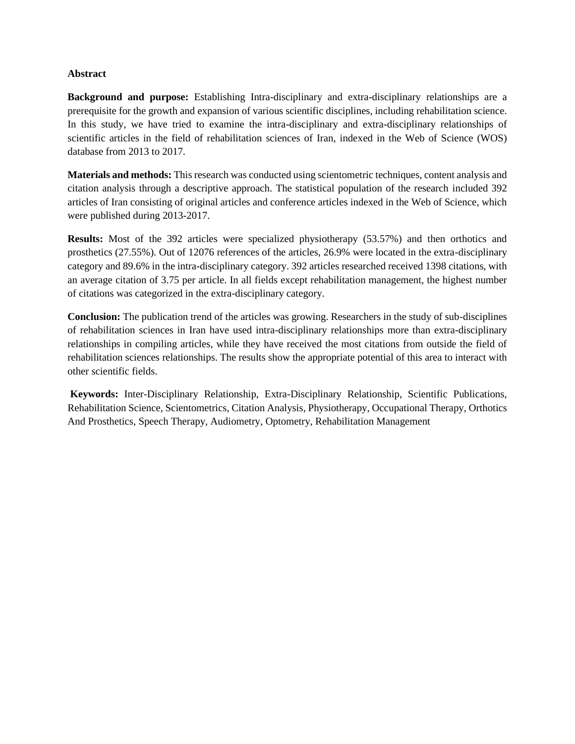#### **Abstract**

**Background and purpose:** Establishing Intra-disciplinary and extra-disciplinary relationships are a prerequisite for the growth and expansion of various scientific disciplines, including rehabilitation science. In this study, we have tried to examine the intra-disciplinary and extra-disciplinary relationships of scientific articles in the field of rehabilitation sciences of Iran, indexed in the Web of Science (WOS) database from 2013 to 2017.

**Materials and methods:** This research was conducted using scientometric techniques, content analysis and citation analysis through a descriptive approach. The statistical population of the research included 392 articles of Iran consisting of original articles and conference articles indexed in the Web of Science, which were published during 2013-2017.

**Results:** Most of the 392 articles were specialized physiotherapy (53.57%) and then orthotics and prosthetics (27.55%). Out of 12076 references of the articles, 26.9% were located in the extra-disciplinary category and 89.6% in the intra-disciplinary category. 392 articles researched received 1398 citations, with an average citation of 3.75 per article. In all fields except rehabilitation management, the highest number of citations was categorized in the extra-disciplinary category.

**Conclusion:** The publication trend of the articles was growing. Researchers in the study of sub-disciplines of rehabilitation sciences in Iran have used intra-disciplinary relationships more than extra-disciplinary relationships in compiling articles, while they have received the most citations from outside the field of rehabilitation sciences relationships. The results show the appropriate potential of this area to interact with other scientific fields.

**Keywords:** Inter-Disciplinary Relationship, Extra-Disciplinary Relationship, Scientific Publications, Rehabilitation Science, Scientometrics, Citation Analysis, Physiotherapy, Occupational Therapy, Orthotics And Prosthetics, Speech Therapy, Audiometry, Optometry, Rehabilitation Management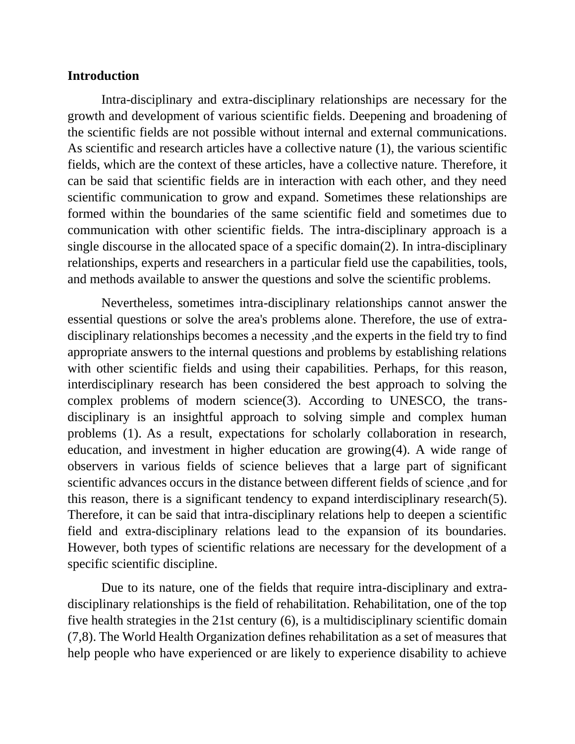#### **Introduction**

Intra-disciplinary and extra-disciplinary relationships are necessary for the growth and development of various scientific fields. Deepening and broadening of the scientific fields are not possible without internal and external communications. As scientific and research articles have a collective nature (1), the various scientific fields, which are the context of these articles, have a collective nature. Therefore, it can be said that scientific fields are in interaction with each other, and they need scientific communication to grow and expand. Sometimes these relationships are formed within the boundaries of the same scientific field and sometimes due to communication with other scientific fields. The intra-disciplinary approach is a single discourse in the allocated space of a specific domain(2). In intra-disciplinary relationships, experts and researchers in a particular field use the capabilities, tools, and methods available to answer the questions and solve the scientific problems.

Nevertheless, sometimes intra-disciplinary relationships cannot answer the essential questions or solve the area's problems alone. Therefore, the use of extradisciplinary relationships becomes a necessity ,and the experts in the field try to find appropriate answers to the internal questions and problems by establishing relations with other scientific fields and using their capabilities. Perhaps, for this reason, interdisciplinary research has been considered the best approach to solving the complex problems of modern science(3). According to UNESCO, the transdisciplinary is an insightful approach to solving simple and complex human problems (1). As a result, expectations for scholarly collaboration in research, education, and investment in higher education are growing(4). A wide range of observers in various fields of science believes that a large part of significant scientific advances occurs in the distance between different fields of science ,and for this reason, there is a significant tendency to expand interdisciplinary research(5). Therefore, it can be said that intra-disciplinary relations help to deepen a scientific field and extra-disciplinary relations lead to the expansion of its boundaries. However, both types of scientific relations are necessary for the development of a specific scientific discipline.

Due to its nature, one of the fields that require intra-disciplinary and extradisciplinary relationships is the field of rehabilitation. Rehabilitation, one of the top five health strategies in the 21st century (6), is a multidisciplinary scientific domain (7,8). The World Health Organization defines rehabilitation as a set of measures that help people who have experienced or are likely to experience disability to achieve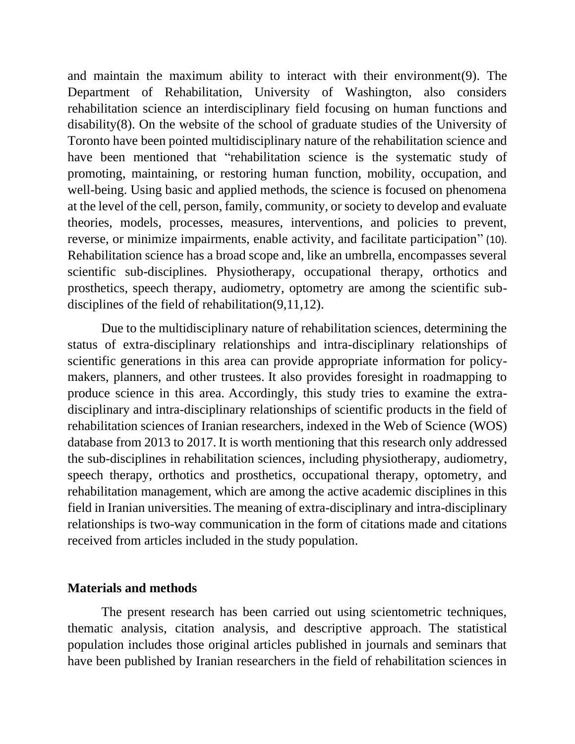and maintain the maximum ability to interact with their environment(9). The Department of Rehabilitation, University of Washington, also considers rehabilitation science an interdisciplinary field focusing on human functions and disability(8). On the website of the school of graduate studies of the University of Toronto have been pointed multidisciplinary nature of the rehabilitation science and have been mentioned that "rehabilitation science is the systematic study of promoting, maintaining, or restoring human function, mobility, occupation, and well-being. Using basic and applied methods, the science is focused on phenomena at the level of the cell, person, family, community, or society to develop and evaluate theories, models, processes, measures, interventions, and policies to prevent, reverse, or minimize impairments, enable activity, and facilitate participation" (10). Rehabilitation science has a broad scope and, like an umbrella, encompasses several scientific sub-disciplines. Physiotherapy, occupational therapy, orthotics and prosthetics, speech therapy, audiometry, optometry are among the scientific subdisciplines of the field of rehabilitation(9,11,12).

Due to the multidisciplinary nature of rehabilitation sciences, determining the status of extra-disciplinary relationships and intra-disciplinary relationships of scientific generations in this area can provide appropriate information for policymakers, planners, and other trustees. It also provides foresight in roadmapping to produce science in this area. Accordingly, this study tries to examine the extradisciplinary and intra-disciplinary relationships of scientific products in the field of rehabilitation sciences of Iranian researchers, indexed in the Web of Science (WOS) database from 2013 to 2017. It is worth mentioning that this research only addressed the sub-disciplines in rehabilitation sciences, including physiotherapy, audiometry, speech therapy, orthotics and prosthetics, occupational therapy, optometry, and rehabilitation management, which are among the active academic disciplines in this field in Iranian universities. The meaning of extra-disciplinary and intra-disciplinary relationships is two-way communication in the form of citations made and citations received from articles included in the study population.

### **Materials and methods**

The present research has been carried out using scientometric techniques, thematic analysis, citation analysis, and descriptive approach. The statistical population includes those original articles published in journals and seminars that have been published by Iranian researchers in the field of rehabilitation sciences in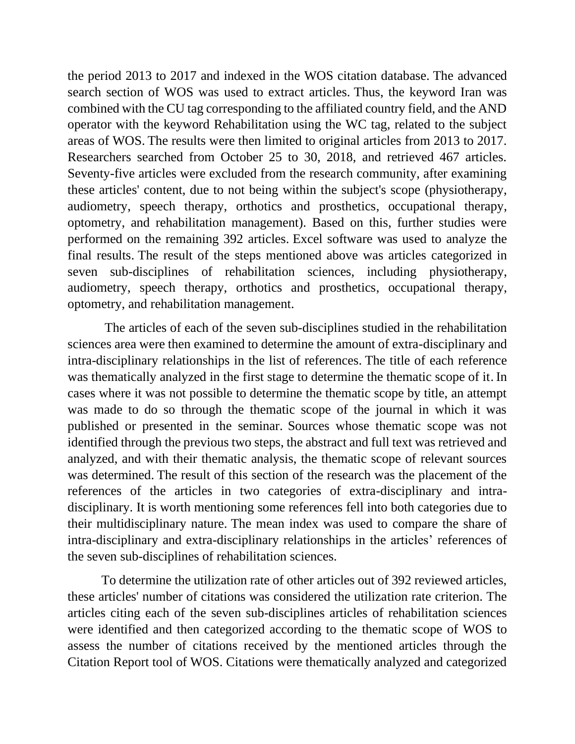the period 2013 to 2017 and indexed in the WOS citation database. The advanced search section of WOS was used to extract articles. Thus, the keyword Iran was combined with the CU tag corresponding to the affiliated country field, and the AND operator with the keyword Rehabilitation using the WC tag, related to the subject areas of WOS. The results were then limited to original articles from 2013 to 2017. Researchers searched from October 25 to 30, 2018, and retrieved 467 articles. Seventy-five articles were excluded from the research community, after examining these articles' content, due to not being within the subject's scope (physiotherapy, audiometry, speech therapy, orthotics and prosthetics, occupational therapy, optometry, and rehabilitation management). Based on this, further studies were performed on the remaining 392 articles. Excel software was used to analyze the final results. The result of the steps mentioned above was articles categorized in seven sub-disciplines of rehabilitation sciences, including physiotherapy, audiometry, speech therapy, orthotics and prosthetics, occupational therapy, optometry, and rehabilitation management.

The articles of each of the seven sub-disciplines studied in the rehabilitation sciences area were then examined to determine the amount of extra-disciplinary and intra-disciplinary relationships in the list of references. The title of each reference was thematically analyzed in the first stage to determine the thematic scope of it. In cases where it was not possible to determine the thematic scope by title, an attempt was made to do so through the thematic scope of the journal in which it was published or presented in the seminar. Sources whose thematic scope was not identified through the previous two steps, the abstract and full text was retrieved and analyzed, and with their thematic analysis, the thematic scope of relevant sources was determined. The result of this section of the research was the placement of the references of the articles in two categories of extra-disciplinary and intradisciplinary. It is worth mentioning some references fell into both categories due to their multidisciplinary nature. The mean index was used to compare the share of intra-disciplinary and extra-disciplinary relationships in the articles' references of the seven sub-disciplines of rehabilitation sciences.

To determine the utilization rate of other articles out of 392 reviewed articles, these articles' number of citations was considered the utilization rate criterion. The articles citing each of the seven sub-disciplines articles of rehabilitation sciences were identified and then categorized according to the thematic scope of WOS to assess the number of citations received by the mentioned articles through the Citation Report tool of WOS. Citations were thematically analyzed and categorized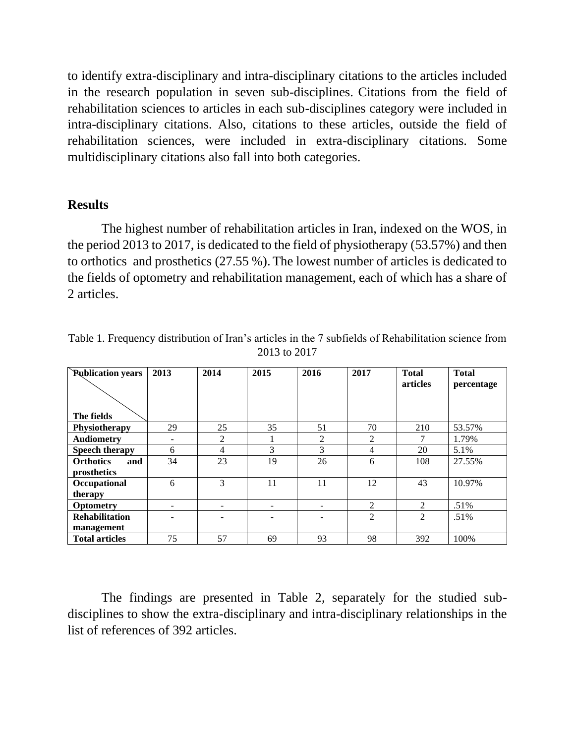to identify extra-disciplinary and intra-disciplinary citations to the articles included in the research population in seven sub-disciplines. Citations from the field of rehabilitation sciences to articles in each sub-disciplines category were included in intra-disciplinary citations. Also, citations to these articles, outside the field of rehabilitation sciences, were included in extra-disciplinary citations. Some multidisciplinary citations also fall into both categories.

#### **Results**

The highest number of rehabilitation articles in Iran, indexed on the WOS, in the period 2013 to 2017, is dedicated to the field of physiotherapy (53.57%) and then to orthotics and prosthetics (27.55 %). The lowest number of articles is dedicated to the fields of optometry and rehabilitation management, each of which has a share of 2 articles.

| <b>Publication years</b> | 2013 | 2014           | 2015 | 2016           | 2017 | <b>Total</b>    | <b>Total</b> |
|--------------------------|------|----------------|------|----------------|------|-----------------|--------------|
|                          |      |                |      |                |      | <b>articles</b> | percentage   |
| The fields               |      |                |      |                |      |                 |              |
| Physiotherapy            | 29   | 25             | 35   | 51             | 70   | 210             | 53.57%       |
| <b>Audiometry</b>        |      | $\overline{2}$ |      | $\overline{2}$ | 2    | 7               | 1.79%        |
| Speech therapy           | 6    | 4              | 3    | 3              | 4    | 20              | 5.1%         |
| <b>Orthotics</b><br>and  | 34   | 23             | 19   | 26             | 6    | 108             | 27.55%       |
| prosthetics              |      |                |      |                |      |                 |              |
| Occupational             | 6    | 3              | 11   | 11             | 12   | 43              | 10.97%       |
| therapy                  |      |                |      |                |      |                 |              |
| <b>Optometry</b>         |      | ۰              |      |                | 2    | 2               | $.51\%$      |
| <b>Rehabilitation</b>    |      |                |      |                | 2    | 2               | $.51\%$      |
| management               |      |                |      |                |      |                 |              |
| <b>Total articles</b>    | 75   | 57             | 69   | 93             | 98   | 392             | 100%         |

Table 1. Frequency distribution of Iran's articles in the 7 subfields of Rehabilitation science from 2013 to 2017

The findings are presented in Table 2, separately for the studied subdisciplines to show the extra-disciplinary and intra-disciplinary relationships in the list of references of 392 articles.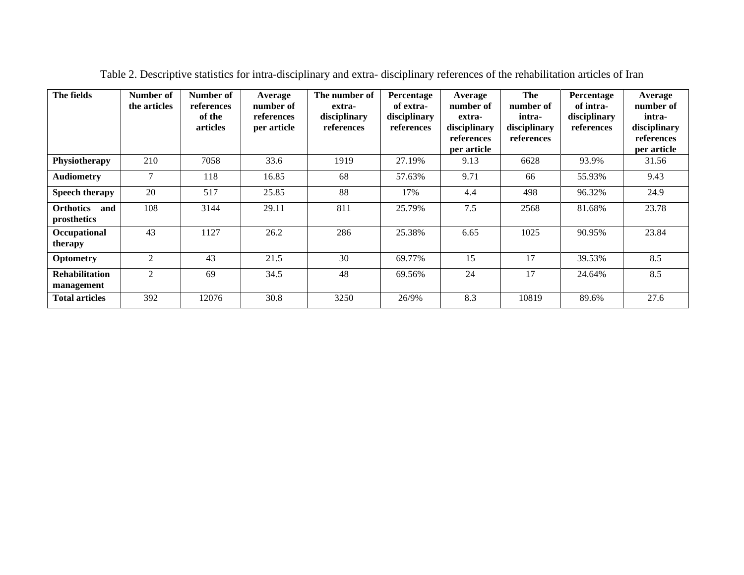| The fields                             | Number of<br>the articles | Number of<br>references<br>of the<br>articles | Average<br>number of<br>references<br>per article | The number of<br>extra-<br>disciplinary<br>references | Percentage<br>of extra-<br>disciplinary<br>references | Average<br>number of<br>extra-<br>disciplinary<br>references<br>per article | The<br>number of<br>intra-<br>disciplinary<br>references | Percentage<br>of intra-<br>disciplinary<br>references | Average<br>number of<br>intra-<br>disciplinary<br>references<br>per article |
|----------------------------------------|---------------------------|-----------------------------------------------|---------------------------------------------------|-------------------------------------------------------|-------------------------------------------------------|-----------------------------------------------------------------------------|----------------------------------------------------------|-------------------------------------------------------|-----------------------------------------------------------------------------|
| Physiotherapy                          | 210                       | 7058                                          | 33.6                                              | 1919                                                  | 27.19%                                                | 9.13                                                                        | 6628                                                     | 93.9%                                                 | 31.56                                                                       |
| <b>Audiometry</b>                      | $\tau$                    | 118                                           | 16.85                                             | 68                                                    | 57.63%                                                | 9.71                                                                        | 66                                                       | 55.93%                                                | 9.43                                                                        |
| Speech therapy                         | 20                        | 517                                           | 25.85                                             | 88                                                    | 17%                                                   | 4.4                                                                         | 498                                                      | 96.32%                                                | 24.9                                                                        |
| <b>Orthotics</b><br>and<br>prosthetics | 108                       | 3144                                          | 29.11                                             | 811                                                   | 25.79%                                                | 7.5                                                                         | 2568                                                     | 81.68%                                                | 23.78                                                                       |
| Occupational<br>therapy                | 43                        | 1127                                          | 26.2                                              | 286                                                   | 25.38%                                                | 6.65                                                                        | 1025                                                     | 90.95%                                                | 23.84                                                                       |
| <b>Optometry</b>                       | $\overline{2}$            | 43                                            | 21.5                                              | 30                                                    | 69.77%                                                | 15                                                                          | 17                                                       | 39.53%                                                | 8.5                                                                         |
| <b>Rehabilitation</b><br>management    | $\overline{2}$            | 69                                            | 34.5                                              | 48                                                    | 69.56%                                                | 24                                                                          | 17                                                       | 24.64%                                                | 8.5                                                                         |
| <b>Total articles</b>                  | 392                       | 12076                                         | 30.8                                              | 3250                                                  | 26/9%                                                 | 8.3                                                                         | 10819                                                    | 89.6%                                                 | 27.6                                                                        |

Table 2. Descriptive statistics for intra-disciplinary and extra- disciplinary references of the rehabilitation articles of Iran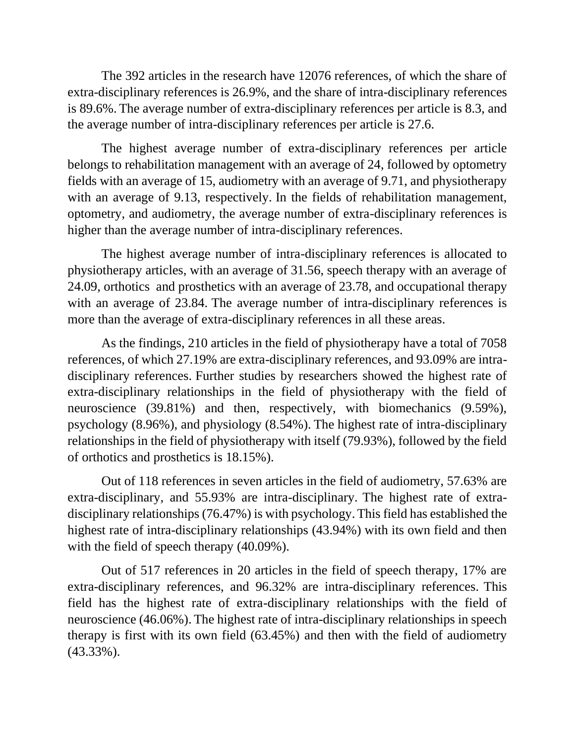The 392 articles in the research have 12076 references, of which the share of extra-disciplinary references is 26.9%, and the share of intra-disciplinary references is 89.6%. The average number of extra-disciplinary references per article is 8.3, and the average number of intra-disciplinary references per article is 27.6.

The highest average number of extra-disciplinary references per article belongs to rehabilitation management with an average of 24, followed by optometry fields with an average of 15, audiometry with an average of 9.71, and physiotherapy with an average of 9.13, respectively. In the fields of rehabilitation management, optometry, and audiometry, the average number of extra-disciplinary references is higher than the average number of intra-disciplinary references.

The highest average number of intra-disciplinary references is allocated to physiotherapy articles, with an average of 31.56, speech therapy with an average of 24.09, orthotics and prosthetics with an average of 23.78, and occupational therapy with an average of 23.84. The average number of intra-disciplinary references is more than the average of extra-disciplinary references in all these areas.

As the findings, 210 articles in the field of physiotherapy have a total of 7058 references, of which 27.19% are extra-disciplinary references, and 93.09% are intradisciplinary references. Further studies by researchers showed the highest rate of extra-disciplinary relationships in the field of physiotherapy with the field of neuroscience (39.81%) and then, respectively, with biomechanics (9.59%), psychology (8.96%), and physiology (8.54%). The highest rate of intra-disciplinary relationships in the field of physiotherapy with itself (79.93%), followed by the field of orthotics and prosthetics is 18.15%).

Out of 118 references in seven articles in the field of audiometry, 57.63% are extra-disciplinary, and 55.93% are intra-disciplinary. The highest rate of extradisciplinary relationships (76.47%) is with psychology. This field has established the highest rate of intra-disciplinary relationships (43.94%) with its own field and then with the field of speech therapy  $(40.09\%)$ .

Out of 517 references in 20 articles in the field of speech therapy, 17% are extra-disciplinary references, and 96.32% are intra-disciplinary references. This field has the highest rate of extra-disciplinary relationships with the field of neuroscience (46.06%). The highest rate of intra-disciplinary relationships in speech therapy is first with its own field (63.45%) and then with the field of audiometry (43.33%).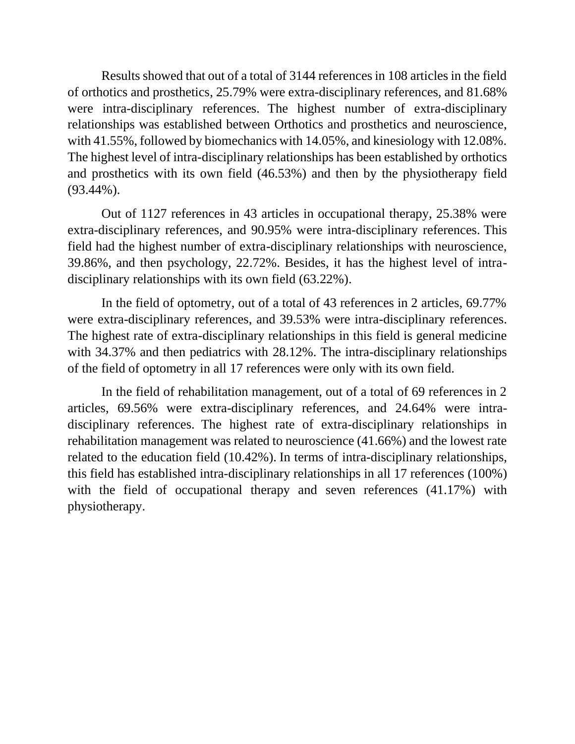Results showed that out of a total of 3144 references in 108 articles in the field of orthotics and prosthetics, 25.79% were extra-disciplinary references, and 81.68% were intra-disciplinary references. The highest number of extra-disciplinary relationships was established between Orthotics and prosthetics and neuroscience, with 41.55%, followed by biomechanics with 14.05%, and kinesiology with 12.08%. The highest level of intra-disciplinary relationships has been established by orthotics and prosthetics with its own field (46.53%) and then by the physiotherapy field (93.44%).

Out of 1127 references in 43 articles in occupational therapy, 25.38% were extra-disciplinary references, and 90.95% were intra-disciplinary references. This field had the highest number of extra-disciplinary relationships with neuroscience, 39.86%, and then psychology, 22.72%. Besides, it has the highest level of intradisciplinary relationships with its own field (63.22%).

In the field of optometry, out of a total of 43 references in 2 articles, 69.77% were extra-disciplinary references, and 39.53% were intra-disciplinary references. The highest rate of extra-disciplinary relationships in this field is general medicine with 34.37% and then pediatrics with 28.12%. The intra-disciplinary relationships of the field of optometry in all 17 references were only with its own field.

In the field of rehabilitation management, out of a total of 69 references in 2 articles, 69.56% were extra-disciplinary references, and 24.64% were intradisciplinary references. The highest rate of extra-disciplinary relationships in rehabilitation management was related to neuroscience (41.66%) and the lowest rate related to the education field (10.42%). In terms of intra-disciplinary relationships, this field has established intra-disciplinary relationships in all 17 references (100%) with the field of occupational therapy and seven references (41.17%) with physiotherapy.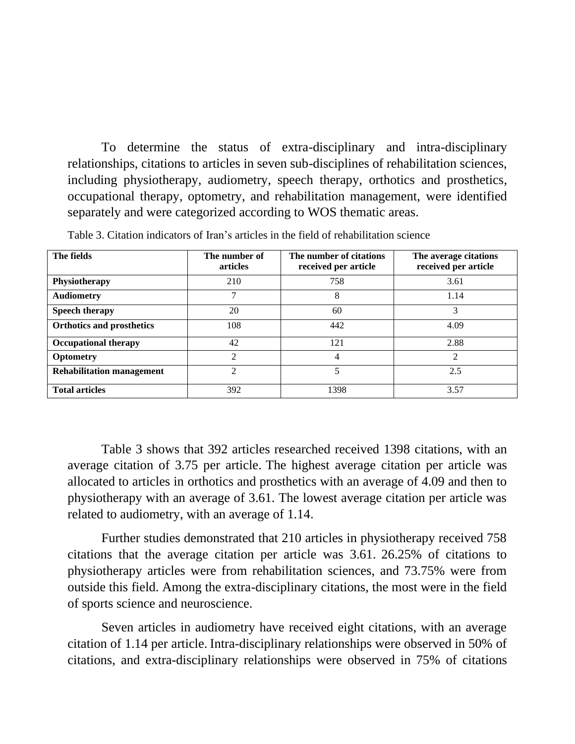To determine the status of extra-disciplinary and intra-disciplinary relationships, citations to articles in seven sub-disciplines of rehabilitation sciences, including physiotherapy, audiometry, speech therapy, orthotics and prosthetics, occupational therapy, optometry, and rehabilitation management, were identified separately and were categorized according to WOS thematic areas.

| The fields                       | The number of<br><b>articles</b> | The number of citations<br>received per article | The average citations<br>received per article |
|----------------------------------|----------------------------------|-------------------------------------------------|-----------------------------------------------|
| Physiotherapy                    | 210                              | 758                                             | 3.61                                          |
| <b>Audiometry</b>                | 7                                | 8                                               | 1.14                                          |
| <b>Speech therapy</b>            | 20                               | 60                                              | 3                                             |
| <b>Orthotics and prosthetics</b> | 108                              | 442                                             | 4.09                                          |
| <b>Occupational therapy</b>      | 42                               | 121                                             | 2.88                                          |
| Optometry                        | $\mathfrak{D}$                   | 4                                               | C                                             |
| <b>Rehabilitation management</b> | $\mathfrak{D}$                   |                                                 | 2.5                                           |
| <b>Total articles</b>            | 392                              | 1398                                            | 3.57                                          |

Table 3. Citation indicators of Iran's articles in the field of rehabilitation science

Table 3 shows that 392 articles researched received 1398 citations, with an average citation of 3.75 per article. The highest average citation per article was allocated to articles in orthotics and prosthetics with an average of 4.09 and then to physiotherapy with an average of 3.61. The lowest average citation per article was related to audiometry, with an average of 1.14.

Further studies demonstrated that 210 articles in physiotherapy received 758 citations that the average citation per article was 3.61. 26.25% of citations to physiotherapy articles were from rehabilitation sciences, and 73.75% were from outside this field. Among the extra-disciplinary citations, the most were in the field of sports science and neuroscience.

Seven articles in audiometry have received eight citations, with an average citation of 1.14 per article. Intra-disciplinary relationships were observed in 50% of citations, and extra-disciplinary relationships were observed in 75% of citations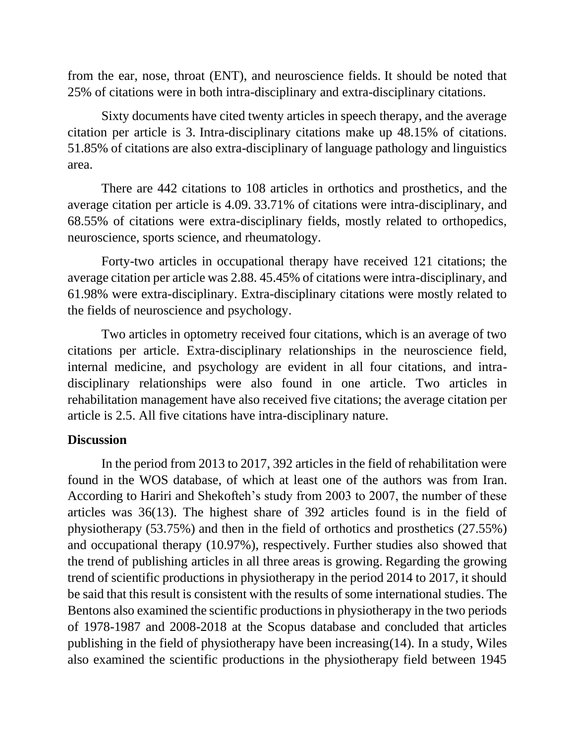from the ear, nose, throat (ENT), and neuroscience fields. It should be noted that 25% of citations were in both intra-disciplinary and extra-disciplinary citations.

Sixty documents have cited twenty articles in speech therapy, and the average citation per article is 3. Intra-disciplinary citations make up 48.15% of citations. 51.85% of citations are also extra-disciplinary of language pathology and linguistics area.

There are 442 citations to 108 articles in orthotics and prosthetics, and the average citation per article is 4.09. 33.71% of citations were intra-disciplinary, and 68.55% of citations were extra-disciplinary fields, mostly related to orthopedics, neuroscience, sports science, and rheumatology.

Forty-two articles in occupational therapy have received 121 citations; the average citation per article was 2.88. 45.45% of citations were intra-disciplinary, and 61.98% were extra-disciplinary. Extra-disciplinary citations were mostly related to the fields of neuroscience and psychology.

Two articles in optometry received four citations, which is an average of two citations per article. Extra-disciplinary relationships in the neuroscience field, internal medicine, and psychology are evident in all four citations, and intradisciplinary relationships were also found in one article. Two articles in rehabilitation management have also received five citations; the average citation per article is 2.5. All five citations have intra-disciplinary nature.

### **Discussion**

In the period from 2013 to 2017, 392 articles in the field of rehabilitation were found in the WOS database, of which at least one of the authors was from Iran. According to Hariri and Shekofteh's study from 2003 to 2007, the number of these articles was 36(13). The highest share of 392 articles found is in the field of physiotherapy (53.75%) and then in the field of orthotics and prosthetics (27.55%) and occupational therapy (10.97%), respectively. Further studies also showed that the trend of publishing articles in all three areas is growing. Regarding the growing trend of scientific productions in physiotherapy in the period 2014 to 2017, it should be said that this result is consistent with the results of some international studies. The Bentons also examined the scientific productions in physiotherapy in the two periods of 1978-1987 and 2008-2018 at the Scopus database and concluded that articles publishing in the field of physiotherapy have been increasing(14). In a study, Wiles also examined the scientific productions in the physiotherapy field between 1945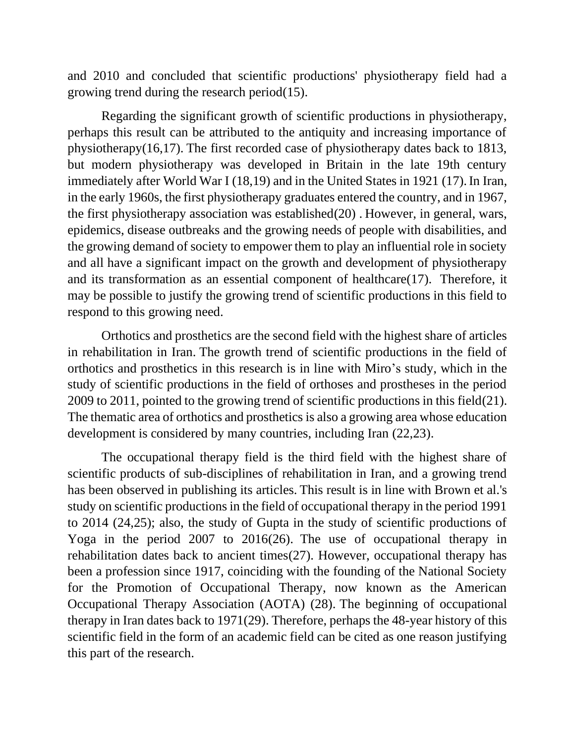and 2010 and concluded that scientific productions' physiotherapy field had a growing trend during the research period(15).

Regarding the significant growth of scientific productions in physiotherapy, perhaps this result can be attributed to the antiquity and increasing importance of physiotherapy(16,17). The first recorded case of physiotherapy dates back to 1813, but modern physiotherapy was developed in Britain in the late 19th century immediately after World War I (18,19) and in the United States in 1921 (17). In Iran, in the early 1960s, the first physiotherapy graduates entered the country, and in 1967, the first physiotherapy association was established(20) . However, in general, wars, epidemics, disease outbreaks and the growing needs of people with disabilities, and the growing demand of society to empower them to play an influential role in society and all have a significant impact on the growth and development of physiotherapy and its transformation as an essential component of healthcare(17). Therefore, it may be possible to justify the growing trend of scientific productions in this field to respond to this growing need.

Orthotics and prosthetics are the second field with the highest share of articles in rehabilitation in Iran. The growth trend of scientific productions in the field of orthotics and prosthetics in this research is in line with Miro's study, which in the study of scientific productions in the field of orthoses and prostheses in the period 2009 to 2011, pointed to the growing trend of scientific productions in this field(21). The thematic area of orthotics and prosthetics is also a growing area whose education development is considered by many countries, including Iran (22,23).

The occupational therapy field is the third field with the highest share of scientific products of sub-disciplines of rehabilitation in Iran, and a growing trend has been observed in publishing its articles. This result is in line with Brown et al.'s study on scientific productions in the field of occupational therapy in the period 1991 to 2014 (24,25); also, the study of Gupta in the study of scientific productions of Yoga in the period 2007 to 2016(26). The use of occupational therapy in rehabilitation dates back to ancient times(27). However, occupational therapy has been a profession since 1917, coinciding with the founding of the National Society for the Promotion of Occupational Therapy, now known as the American Occupational Therapy Association (AOTA) (28). The beginning of occupational therapy in Iran dates back to 1971(29). Therefore, perhaps the 48-year history of this scientific field in the form of an academic field can be cited as one reason justifying this part of the research.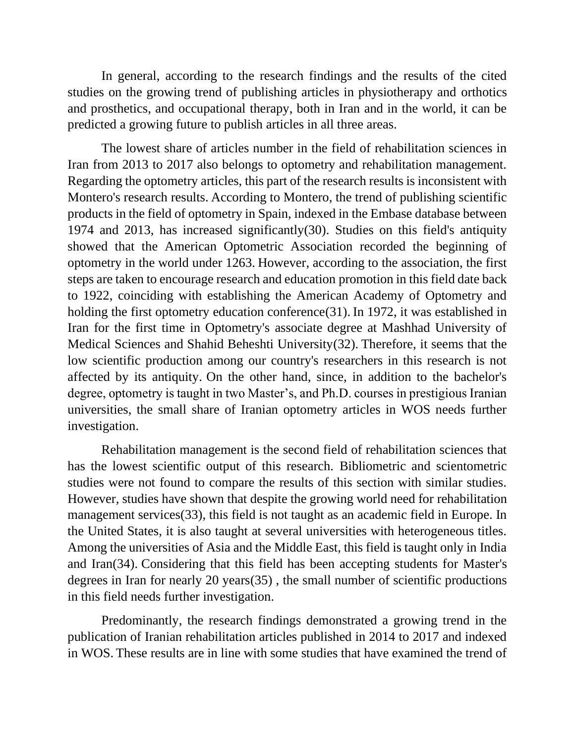In general, according to the research findings and the results of the cited studies on the growing trend of publishing articles in physiotherapy and orthotics and prosthetics, and occupational therapy, both in Iran and in the world, it can be predicted a growing future to publish articles in all three areas.

The lowest share of articles number in the field of rehabilitation sciences in Iran from 2013 to 2017 also belongs to optometry and rehabilitation management. Regarding the optometry articles, this part of the research results is inconsistent with Montero's research results. According to Montero, the trend of publishing scientific products in the field of optometry in Spain, indexed in the Embase database between 1974 and 2013, has increased significantly(30). Studies on this field's antiquity showed that the American Optometric Association recorded the beginning of optometry in the world under 1263. However, according to the association, the first steps are taken to encourage research and education promotion in this field date back to 1922, coinciding with establishing the American Academy of Optometry and holding the first optometry education conference(31). In 1972, it was established in Iran for the first time in Optometry's associate degree at Mashhad University of Medical Sciences and Shahid Beheshti University(32). Therefore, it seems that the low scientific production among our country's researchers in this research is not affected by its antiquity. On the other hand, since, in addition to the bachelor's degree, optometry is taught in two Master's, and Ph.D. courses in prestigious Iranian universities, the small share of Iranian optometry articles in WOS needs further investigation.

Rehabilitation management is the second field of rehabilitation sciences that has the lowest scientific output of this research. Bibliometric and scientometric studies were not found to compare the results of this section with similar studies. However, studies have shown that despite the growing world need for rehabilitation management services(33), this field is not taught as an academic field in Europe. In the United States, it is also taught at several universities with heterogeneous titles. Among the universities of Asia and the Middle East, this field is taught only in India and Iran(34). Considering that this field has been accepting students for Master's degrees in Iran for nearly 20 years(35) , the small number of scientific productions in this field needs further investigation.

Predominantly, the research findings demonstrated a growing trend in the publication of Iranian rehabilitation articles published in 2014 to 2017 and indexed in WOS. These results are in line with some studies that have examined the trend of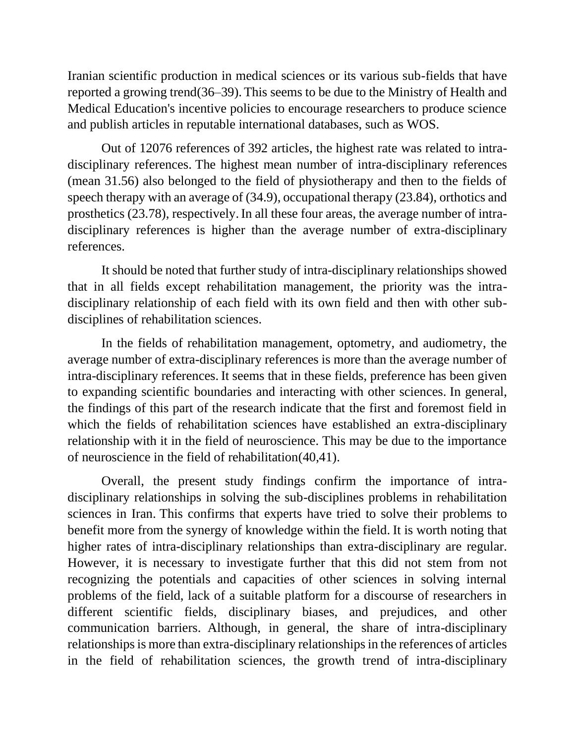Iranian scientific production in medical sciences or its various sub-fields that have reported a growing trend(36–39).This seems to be due to the Ministry of Health and Medical Education's incentive policies to encourage researchers to produce science and publish articles in reputable international databases, such as WOS.

Out of 12076 references of 392 articles, the highest rate was related to intradisciplinary references. The highest mean number of intra-disciplinary references (mean 31.56) also belonged to the field of physiotherapy and then to the fields of speech therapy with an average of (34.9), occupational therapy (23.84), orthotics and prosthetics (23.78), respectively.In all these four areas, the average number of intradisciplinary references is higher than the average number of extra-disciplinary references.

It should be noted that further study of intra-disciplinary relationships showed that in all fields except rehabilitation management, the priority was the intradisciplinary relationship of each field with its own field and then with other subdisciplines of rehabilitation sciences.

In the fields of rehabilitation management, optometry, and audiometry, the average number of extra-disciplinary references is more than the average number of intra-disciplinary references. It seems that in these fields, preference has been given to expanding scientific boundaries and interacting with other sciences. In general, the findings of this part of the research indicate that the first and foremost field in which the fields of rehabilitation sciences have established an extra-disciplinary relationship with it in the field of neuroscience. This may be due to the importance of neuroscience in the field of rehabilitation(40,41).

Overall, the present study findings confirm the importance of intradisciplinary relationships in solving the sub-disciplines problems in rehabilitation sciences in Iran. This confirms that experts have tried to solve their problems to benefit more from the synergy of knowledge within the field. It is worth noting that higher rates of intra-disciplinary relationships than extra-disciplinary are regular. However, it is necessary to investigate further that this did not stem from not recognizing the potentials and capacities of other sciences in solving internal problems of the field, lack of a suitable platform for a discourse of researchers in different scientific fields, disciplinary biases, and prejudices, and other communication barriers. Although, in general, the share of intra-disciplinary relationships is more than extra-disciplinary relationships in the references of articles in the field of rehabilitation sciences, the growth trend of intra-disciplinary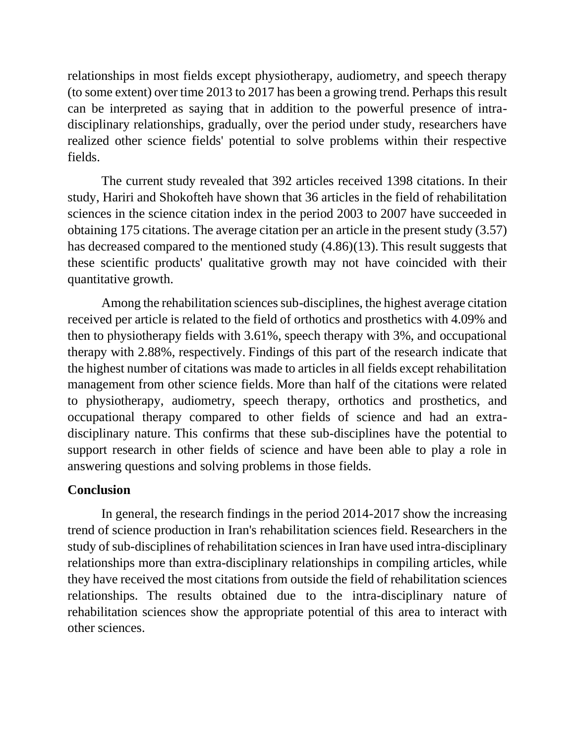relationships in most fields except physiotherapy, audiometry, and speech therapy (to some extent) over time 2013 to 2017 has been a growing trend. Perhaps this result can be interpreted as saying that in addition to the powerful presence of intradisciplinary relationships, gradually, over the period under study, researchers have realized other science fields' potential to solve problems within their respective fields.

The current study revealed that 392 articles received 1398 citations. In their study, Hariri and Shokofteh have shown that 36 articles in the field of rehabilitation sciences in the science citation index in the period 2003 to 2007 have succeeded in obtaining 175 citations. The average citation per an article in the present study (3.57) has decreased compared to the mentioned study (4.86)(13). This result suggests that these scientific products' qualitative growth may not have coincided with their quantitative growth.

Among the rehabilitation sciences sub-disciplines, the highest average citation received per article is related to the field of orthotics and prosthetics with 4.09% and then to physiotherapy fields with 3.61%, speech therapy with 3%, and occupational therapy with 2.88%, respectively. Findings of this part of the research indicate that the highest number of citations was made to articles in all fields except rehabilitation management from other science fields. More than half of the citations were related to physiotherapy, audiometry, speech therapy, orthotics and prosthetics, and occupational therapy compared to other fields of science and had an extradisciplinary nature. This confirms that these sub-disciplines have the potential to support research in other fields of science and have been able to play a role in answering questions and solving problems in those fields.

## **Conclusion**

In general, the research findings in the period 2014-2017 show the increasing trend of science production in Iran's rehabilitation sciences field. Researchers in the study of sub-disciplines of rehabilitation sciences in Iran have used intra-disciplinary relationships more than extra-disciplinary relationships in compiling articles, while they have received the most citations from outside the field of rehabilitation sciences relationships. The results obtained due to the intra-disciplinary nature of rehabilitation sciences show the appropriate potential of this area to interact with other sciences.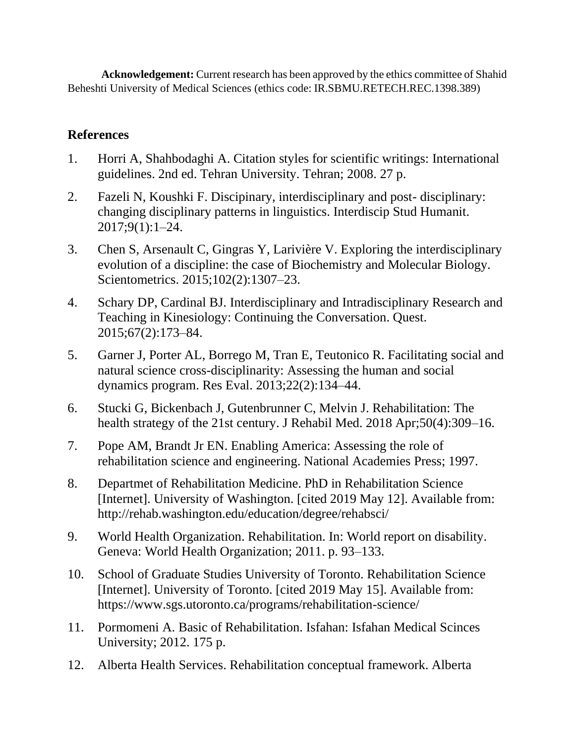**Acknowledgement:** Current research has been approved by the ethics committee of Shahid Beheshti University of Medical Sciences (ethics code: IR.SBMU.RETECH.REC.1398.389)

# **References**

- 1. Horri A, Shahbodaghi A. Citation styles for scientific writings: International guidelines. 2nd ed. Tehran University. Tehran; 2008. 27 p.
- 2. Fazeli N, Koushki F. Discipinary, interdisciplinary and post- disciplinary: changing disciplinary patterns in linguistics. Interdiscip Stud Humanit. 2017;9(1):1–24.
- 3. Chen S, Arsenault C, Gingras Y, Larivière V. Exploring the interdisciplinary evolution of a discipline: the case of Biochemistry and Molecular Biology. Scientometrics. 2015;102(2):1307–23.
- 4. Schary DP, Cardinal BJ. Interdisciplinary and Intradisciplinary Research and Teaching in Kinesiology: Continuing the Conversation. Quest. 2015;67(2):173–84.
- 5. Garner J, Porter AL, Borrego M, Tran E, Teutonico R. Facilitating social and natural science cross-disciplinarity: Assessing the human and social dynamics program. Res Eval. 2013;22(2):134–44.
- 6. Stucki G, Bickenbach J, Gutenbrunner C, Melvin J. Rehabilitation: The health strategy of the 21st century. J Rehabil Med. 2018 Apr;50(4):309–16.
- 7. Pope AM, Brandt Jr EN. Enabling America: Assessing the role of rehabilitation science and engineering. National Academies Press; 1997.
- 8. Departmet of Rehabilitation Medicine. PhD in Rehabilitation Science [Internet]. University of Washington. [cited 2019 May 12]. Available from: http://rehab.washington.edu/education/degree/rehabsci/
- 9. World Health Organization. Rehabilitation. In: World report on disability. Geneva: World Health Organization; 2011. p. 93–133.
- 10. School of Graduate Studies University of Toronto. Rehabilitation Science [Internet]. University of Toronto. [cited 2019 May 15]. Available from: https://www.sgs.utoronto.ca/programs/rehabilitation-science/
- 11. Pormomeni A. Basic of Rehabilitation. Isfahan: Isfahan Medical Scinces University; 2012. 175 p.
- 12. Alberta Health Services. Rehabilitation conceptual framework. Alberta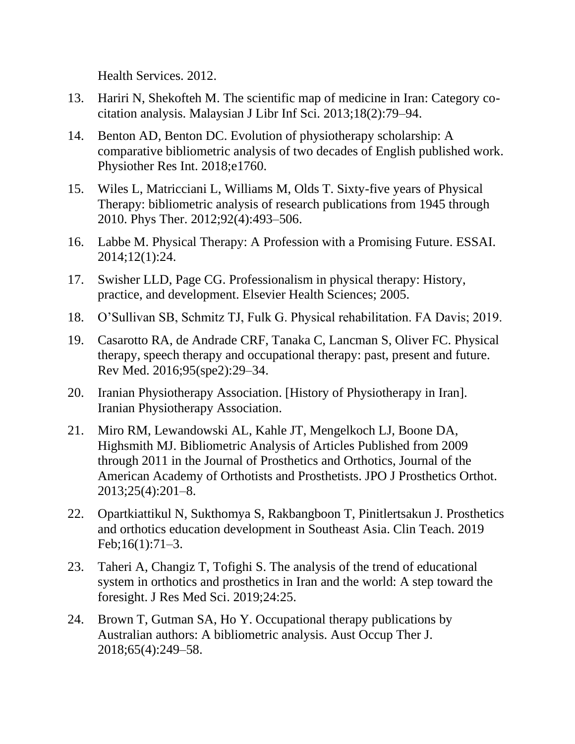Health Services. 2012.

- 13. Hariri N, Shekofteh M. The scientific map of medicine in Iran: Category cocitation analysis. Malaysian J Libr Inf Sci. 2013;18(2):79–94.
- 14. Benton AD, Benton DC. Evolution of physiotherapy scholarship: A comparative bibliometric analysis of two decades of English published work. Physiother Res Int. 2018;e1760.
- 15. Wiles L, Matricciani L, Williams M, Olds T. Sixty-five years of Physical Therapy: bibliometric analysis of research publications from 1945 through 2010. Phys Ther. 2012;92(4):493–506.
- 16. Labbe M. Physical Therapy: A Profession with a Promising Future. ESSAI. 2014;12(1):24.
- 17. Swisher LLD, Page CG. Professionalism in physical therapy: History, practice, and development. Elsevier Health Sciences; 2005.
- 18. O'Sullivan SB, Schmitz TJ, Fulk G. Physical rehabilitation. FA Davis; 2019.
- 19. Casarotto RA, de Andrade CRF, Tanaka C, Lancman S, Oliver FC. Physical therapy, speech therapy and occupational therapy: past, present and future. Rev Med. 2016;95(spe2):29–34.
- 20. Iranian Physiotherapy Association. [History of Physiotherapy in Iran]. Iranian Physiotherapy Association.
- 21. Miro RM, Lewandowski AL, Kahle JT, Mengelkoch LJ, Boone DA, Highsmith MJ. Bibliometric Analysis of Articles Published from 2009 through 2011 in the Journal of Prosthetics and Orthotics, Journal of the American Academy of Orthotists and Prosthetists. JPO J Prosthetics Orthot. 2013;25(4):201–8.
- 22. Opartkiattikul N, Sukthomya S, Rakbangboon T, Pinitlertsakun J. Prosthetics and orthotics education development in Southeast Asia. Clin Teach. 2019 Feb;16(1):71–3.
- 23. Taheri A, Changiz T, Tofighi S. The analysis of the trend of educational system in orthotics and prosthetics in Iran and the world: A step toward the foresight. J Res Med Sci. 2019;24:25.
- 24. Brown T, Gutman SA, Ho Y. Occupational therapy publications by Australian authors: A bibliometric analysis. Aust Occup Ther J. 2018;65(4):249–58.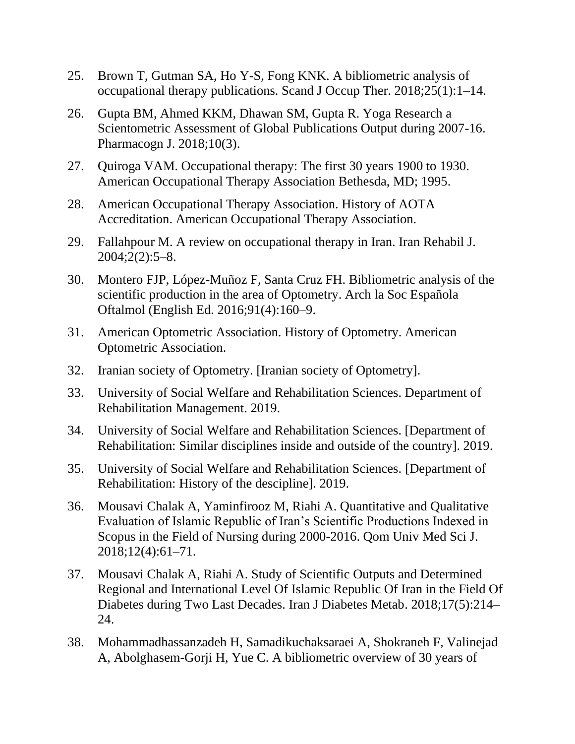- 25. Brown T, Gutman SA, Ho Y-S, Fong KNK. A bibliometric analysis of occupational therapy publications. Scand J Occup Ther. 2018;25(1):1–14.
- 26. Gupta BM, Ahmed KKM, Dhawan SM, Gupta R. Yoga Research a Scientometric Assessment of Global Publications Output during 2007-16. Pharmacogn J. 2018;10(3).
- 27. Quiroga VAM. Occupational therapy: The first 30 years 1900 to 1930. American Occupational Therapy Association Bethesda, MD; 1995.
- 28. American Occupational Therapy Association. History of AOTA Accreditation. American Occupational Therapy Association.
- 29. Fallahpour M. A review on occupational therapy in Iran. Iran Rehabil J. 2004;2(2):5–8.
- 30. Montero FJP, López-Muñoz F, Santa Cruz FH. Bibliometric analysis of the scientific production in the area of Optometry. Arch la Soc Española Oftalmol (English Ed. 2016;91(4):160–9.
- 31. American Optometric Association. History of Optometry. American Optometric Association.
- 32. Iranian society of Optometry. [Iranian society of Optometry].
- 33. University of Social Welfare and Rehabilitation Sciences. Department of Rehabilitation Management. 2019.
- 34. University of Social Welfare and Rehabilitation Sciences. [Department of Rehabilitation: Similar disciplines inside and outside of the country]. 2019.
- 35. University of Social Welfare and Rehabilitation Sciences. [Department of Rehabilitation: History of the descipline]. 2019.
- 36. Mousavi Chalak A, Yaminfirooz M, Riahi A. Quantitative and Qualitative Evaluation of Islamic Republic of Iran's Scientific Productions Indexed in Scopus in the Field of Nursing during 2000-2016. Qom Univ Med Sci J. 2018;12(4):61–71.
- 37. Mousavi Chalak A, Riahi A. Study of Scientific Outputs and Determined Regional and International Level Of Islamic Republic Of Iran in the Field Of Diabetes during Two Last Decades. Iran J Diabetes Metab. 2018;17(5):214– 24.
- 38. Mohammadhassanzadeh H, Samadikuchaksaraei A, Shokraneh F, Valinejad A, Abolghasem-Gorji H, Yue C. A bibliometric overview of 30 years of